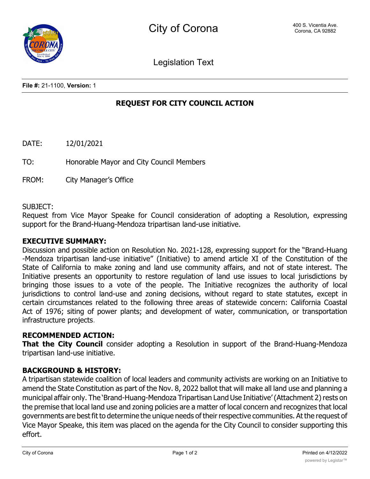Legislation Text

**File #:** 21-1100, **Version:** 1

# **REQUEST FOR CITY COUNCIL ACTION**

DATE: 12/01/2021

TO: Honorable Mayor and City Council Members

FROM: City Manager's Office

SUBJECT:

Request from Vice Mayor Speake for Council consideration of adopting a Resolution, expressing support for the Brand-Huang-Mendoza tripartisan land-use initiative.

### **EXECUTIVE SUMMARY:**

Discussion and possible action on Resolution No. 2021-128, expressing support for the "Brand-Huang -Mendoza tripartisan land-use initiative" (Initiative) to amend article XI of the Constitution of the State of California to make zoning and land use community affairs, and not of state interest. The Initiative presents an opportunity to restore regulation of land use issues to local jurisdictions by bringing those issues to a vote of the people. The Initiative recognizes the authority of local jurisdictions to control land-use and zoning decisions, without regard to state statutes, except in certain circumstances related to the following three areas of statewide concern: California Coastal Act of 1976; siting of power plants; and development of water, communication, or transportation infrastructure projects.

### **RECOMMENDED ACTION:**

**That the City Council** consider adopting a Resolution in support of the Brand-Huang-Mendoza tripartisan land-use initiative.

# **BACKGROUND & HISTORY:**

A tripartisan statewide coalition of local leaders and community activists are working on an Initiative to amend the State Constitution as part of the Nov. 8, 2022 ballot that will make all land use and planning a municipal affair only. The 'Brand-Huang-Mendoza Tripartisan Land Use Initiative'(Attachment 2)rests on the premise that local land use and zoning policies are a matter of local concern and recognizes that local governments are best fit to determine the unique needs of their respective communities. At the request of Vice Mayor Speake, this item was placed on the agenda for the City Council to consider supporting this effort.